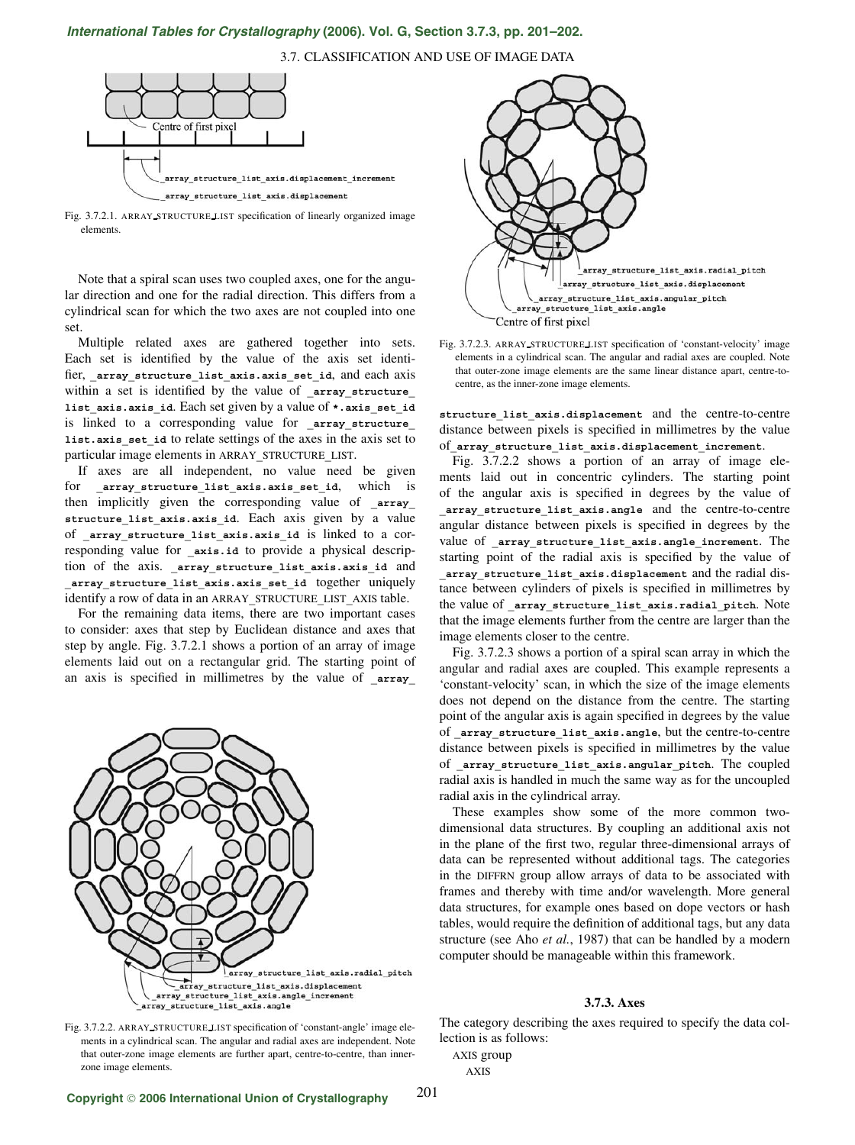## *International Tables for Crystallography* **[\(2006\). Vol. G, Section 3.7.3, pp. 201–202.](http://it.iucr.org/Ga/ch3o7v0001/sec3o7o3/)**

3.7. CLASSIFICATION AND USE OF IMAGE DATA



Fig. 3.7.2.1. ARRAY STRUCTURE LIST specification of linearly organized image elements.

Note that a spiral scan uses two coupled axes, one for the angular direction and one for the radial direction. This differs from a cylindrical scan for which the two axes are not coupled into one set.

Multiple related axes are gathered together into sets. Each set is identified by the value of the axis set identifier, array structure list axis.axis set id, and each axis within a set is identified by the value of **\_array\_structure\_ list\_axis.axis\_id**. Each set given by a value of **\*.axis\_set\_id** is linked to a corresponding value for **array** structure **list.axis\_set\_id** to relate settings of the axes in the axis set to particular image elements in ARRAY**\_**STRUCTURE**\_**LIST.

If axes are all independent, no value need be given for array structure list axis.axis set id, which is then implicitly given the corresponding value of **array** structure list axis.axis id. Each axis given by a value of **\_array\_structure\_list\_axis.axis\_id** is linked to a corresponding value for **axis.id** to provide a physical description of the axis. array structure list axis.axis id and **\_array\_structure\_list\_axis.axis\_set\_id** together uniquely identify a row of data in an ARRAY**\_**STRUCTURE**\_**LIST**\_**AXIS table.

For the remaining data items, there are two important cases to consider: axes that step by Euclidean distance and axes that step by angle. Fig. 3.7.2.1 shows a portion of an array of image elements laid out on a rectangular grid. The starting point of an axis is specified in millimetres by the value of **array** 





Fig. 3.7.2.3. ARRAY STRUCTURE LIST specification of 'constant-velocity' image elements in a cylindrical scan. The angular and radial axes are coupled. Note that outer-zone image elements are the same linear distance apart, centre-tocentre, as the inner-zone image elements.

**structure\_list\_axis.displacement** and the centre-to-centre distance between pixels is specified in millimetres by the value of**\_array\_structure\_list\_axis.displacement\_increment**.

Fig. 3.7.2.2 shows a portion of an array of image elements laid out in concentric cylinders. The starting point of the angular axis is specified in degrees by the value of **\_array\_structure\_list\_axis.angle** and the centre-to-centre angular distance between pixels is specified in degrees by the value of **\_array\_structure\_list\_axis.angle\_increment**. The starting point of the radial axis is specified by the value of **\_array\_structure\_list\_axis.displacement** and the radial distance between cylinders of pixels is specified in millimetres by the value of **\_array\_structure\_list\_axis.radial\_pitch**. Note that the image elements further from the centre are larger than the image elements closer to the centre.

Fig. 3.7.2.3 shows a portion of a spiral scan array in which the angular and radial axes are coupled. This example represents a 'constant-velocity' scan, in which the size of the image elements does not depend on the distance from the centre. The starting point of the angular axis is again specified in degrees by the value of **\_array\_structure\_list\_axis.angle**, but the centre-to-centre distance between pixels is specified in millimetres by the value of **\_array\_structure\_list\_axis.angular\_pitch**. The coupled radial axis is handled in much the same way as for the uncoupled radial axis in the cylindrical array.

These examples show some of the more common twodimensional data structures. By coupling an additional axis not in the plane of the first two, regular three-dimensional arrays of data can be represented without additional tags. The categories in the DIFFRN group allow arrays of data to be associated with frames and thereby with time and/or wavelength. More general data structures, for example ones based on dope vectors or hash tables, would require the definition of additional tags, but any data structure (see Aho *et al.*, 1987) that can be handled by a modern computer should be manageable within this framework.

## **3.7.3. Axes**

Fig. 3.7.2.2. ARRAY STRUCTURE LIST specification of 'constant-angle' image elements in a cylindrical scan. The angular and radial axes are independent. Note that outer-zone image elements are further apart, centre-to-centre, than innerzone image elements.

The category describing the axes required to specify the data collection is as follows:

AXIS group

AXIS

201